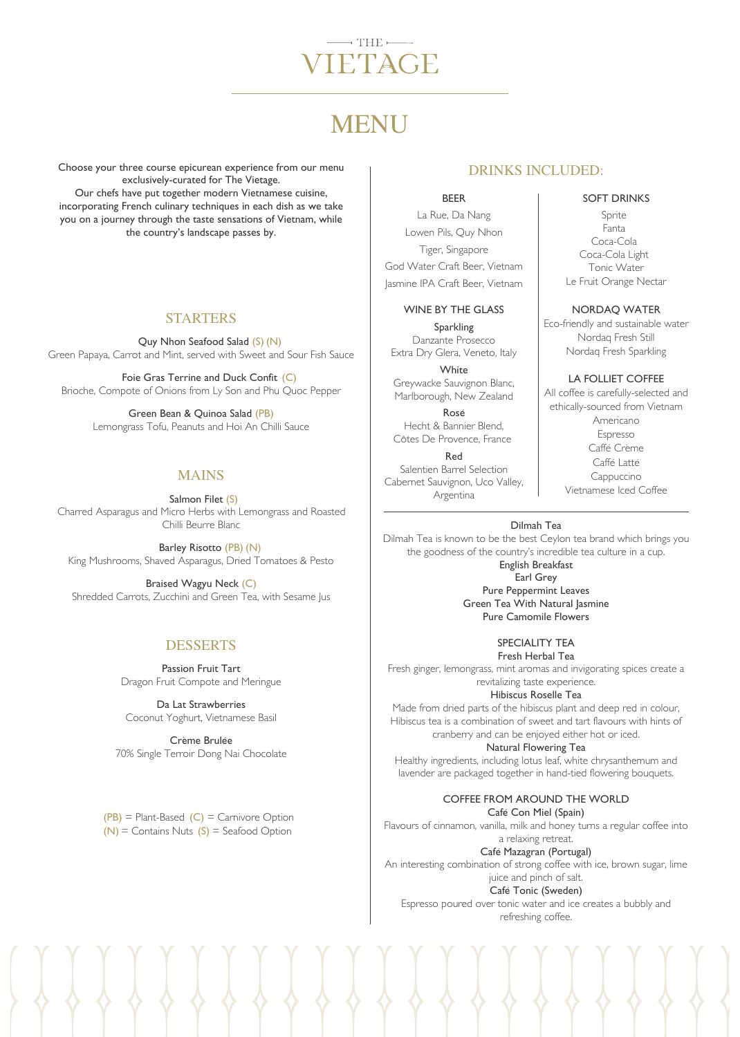# $-$  THE  $-$ TETAGE

# **MENU**

Choose your three course epicurean experience from our menu exclusively-curated for The Vietage. Our chefs have put together modern Vietnamese cuisine, incorporating French culinary techniques in each dish as we take you on a journey through the taste sensations of Vietnam, while the country's landscape passes by.

#### STARTERS

Quy Nhon Seafood Salad (S) (N) Green Papaya, Carrot and Mint, served with Sweet and Sour Fish Sauce

Foie Gras Terrine and Duck Confit (C) Brioche, Compote of Onions from Ly Son and Phu Quoc Pepper

Green Bean & Quinoa Salad (PB) Lemongrass Tofu, Peanuts and Hoi An Chilli Sauce

## MAINS

 Salmon Filet (S) Charred Asparagus and Micro Herbs with Lemongrass and Roasted Chilli Beurre Blanc

Barley Risotto (PB) (N) King Mushrooms, Shaved Asparagus, Dried Tomatoes & Pesto

Braised Wagyu Neck (C) Shredded Carrots, Zucchini and Green Tea, with Sesame Jus

### DESSERTS

Passion Fruit Tart Dragon Fruit Compote and Meringue

Da Lat Strawberries Coconut Yoghurt, Vietnamese Basil

Crème Brulée 70% Single Terroir Dong Nai Chocolate

 $(PB)$  = Plant-Based  $(C)$  = Carnivore Option  $(N)$  = Contains Nuts  $(S)$  = Seafood Option

# DRINKS INCLUDED:

BEER

La Rue, Da Nang Lowen Pils, Quy Nhon Tiger, Singapore God Water Craft Beer, Vietnam Jasmine IPA Craft Beer, Vietnam

#### WINE BY THE GLASS

Sparkling Danzante Prosecco Extra Dry Glera, Veneto, Italy

**White** Greywacke Sauvignon Blanc, Marlborough, New Zealand

Rosé Hecht & Bannier Blend, Côtes De Provence, France

Red Salentien Barrel Selection Cabernet Sauvignon, Uco Valley, Argentina

#### SOFT DRINKS

Sprite Fanta Coca-Cola Coca-Cola Light Tonic Water Le Fruit Orange Nectar

NORDAQ WATER

Eco-friendly and sustainable water Nordaq Fresh Still Nordaq Fresh Sparkling

LA FOLLIET COFFEE All coffee is carefully-selected and ethically-sourced from Vietnam Americano Espresso Caffé Crème Caffé Latté Cappuccino Vietnamese Iced Coffee

Dilmah Tea

Dilmah Tea is known to be the best Ceylon tea brand which brings you the goodness of the country's incredible tea culture in a cup. English Breakfast Earl Grey Pure Peppermint Leaves Green Tea With Natural Jasmine Pure Camomile Flowers

> SPECIALITY TEA Fresh Herbal Tea

Fresh ginger, lemongrass, mint aromas and invigorating spices create a revitalizing taste experience.

Hibiscus Roselle Tea

Made from dried parts of the hibiscus plant and deep red in colour, Hibiscus tea is a combination of sweet and tart flavours with hints of cranberry and can be enjoyed either hot or iced.

Natural Flowering Tea Healthy ingredients, including lotus leaf, white chrysanthemum and lavender are packaged together in hand-tied flowering bouquets.

> COFFEE FROM AROUND THE WORLD Café Con Miel (Spain)

Flavours of cinnamon, vanilla, milk and honey turns a regular coffee into a relaxing retreat.

Café Mazagran (Portugal) An interesting combination of strong coffee with ice, brown sugar, lime juice and pinch of salt. Café Tonic (Sweden) Espresso poured over tonic water and ice creates a bubbly and

refreshing coffee.